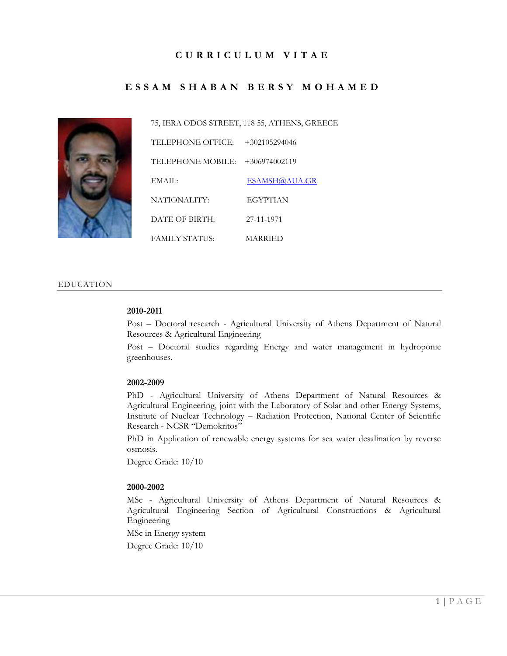# **C U R R I C U L U M V I T A E**

# **E S S A M S H A B A N B E R S Y M O H A M E D**



75, IERA ODOS STREET, 118 55, ATHENS, GREECE TELEPHONE OFFICE: +302105294046 TELEPHONE MOBILE: +306974002119 EMAIL: [ESAMSH@AUA.GR](mailto:esamsh@aua.gr) NATIONALITY: EGYPTIAN DATE OF BIRTH: 27-11-1971 FAMILY STATUS: MARRIED

#### EDUCATION

#### **2010-2011**

Post – Doctoral research - Agricultural University of Athens Department of Natural Resources & Agricultural Engineering

Post – Doctoral studies regarding Energy and water management in hydroponic greenhouses.

#### **2002-2009**

PhD - Agricultural University of Athens Department of Natural Resources & Agricultural Engineering, joint with the Laboratory of Solar and other Energy Systems, Institute of Nuclear Technology – Radiation Protection, National Center of Scientific Research - NCSR "Demokritos"

PhD in Application of renewable energy systems for sea water desalination by reverse osmosis.

Degree Grade: 10/10

#### **2000-2002**

MSc - Agricultural University of Athens Department of Natural Resources & Agricultural Engineering Section of Agricultural Constructions & Agricultural Engineering

MSc in Energy system

Degree Grade: 10/10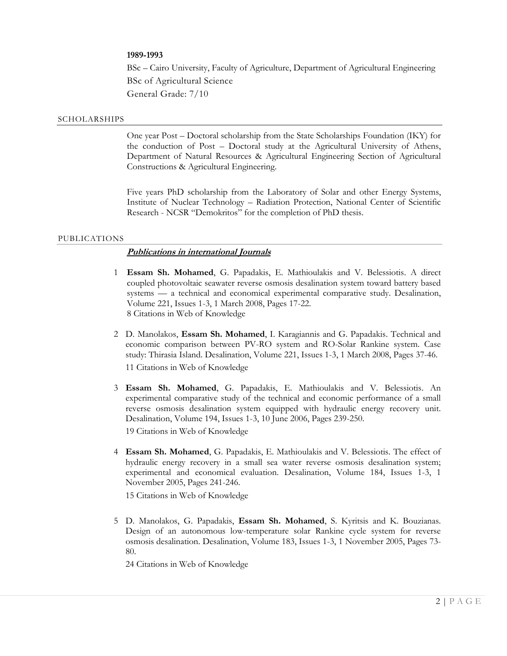### **1989-1993**

BSc – Cairo University, Faculty of Agriculture, Department of Agricultural Engineering BSc of Agricultural Science General Grade: 7/10

#### SCHOLARSHIPS

One year Post – Doctoral scholarship from the State Scholarships Foundation (IKY) for the conduction of Post – Doctoral study at the Agricultural University of Athens, Department of Natural Resources & Agricultural Engineering Section of Agricultural Constructions & Agricultural Engineering.

Five years PhD scholarship from the Laboratory of Solar and other Energy Systems, Institute of Nuclear Technology – Radiation Protection, National Center of Scientific Research - NCSR "Demokritos" for the completion of PhD thesis.

#### PUBLICATIONS

### **Publications in international Journals**

- 1 **Essam Sh. Mohamed**, G. Papadakis, E. Mathioulakis and V. Belessiotis. A direct coupled photovoltaic seawater reverse osmosis desalination system toward battery based systems — a technical and economical experimental comparative study. Desalination, Volume 221, Issues 1-3, 1 March 2008, Pages 17-22. 8 Citations in Web of Knowledge
- 2 D. Manolakos, **Essam Sh. Mohamed**, I. Karagiannis and G. Papadakis. Technical and economic comparison between PV-RO system and RO-Solar Rankine system. Case study: Thirasia Island. Desalination, Volume 221, Issues 1-3, 1 March 2008, Pages 37-46.

11 Citations in Web of Knowledge

3 **Essam Sh. Mohamed**, G. Papadakis, E. Mathioulakis and V. Belessiotis. An experimental comparative study of the technical and economic performance of a small reverse osmosis desalination system equipped with hydraulic energy recovery unit. Desalination, Volume 194, Issues 1-3, 10 June 2006, Pages 239-250.

19 Citations in Web of Knowledge

4 **Essam Sh. Mohamed**, G. Papadakis, E. Mathioulakis and V. Belessiotis. The effect of hydraulic energy recovery in a small sea water reverse osmosis desalination system; experimental and economical evaluation. Desalination, Volume 184, Issues 1-3, 1 November 2005, Pages 241-246.

15 Citations in Web of Knowledge

5 D. Manolakos, G. Papadakis, **Essam Sh. Mohamed**, S. Kyritsis and K. Bouzianas. Design of an autonomous low-temperature solar Rankine cycle system for reverse osmosis desalination. Desalination, Volume 183, Issues 1-3, 1 November 2005, Pages 73- 80.

24 Citations in Web of Knowledge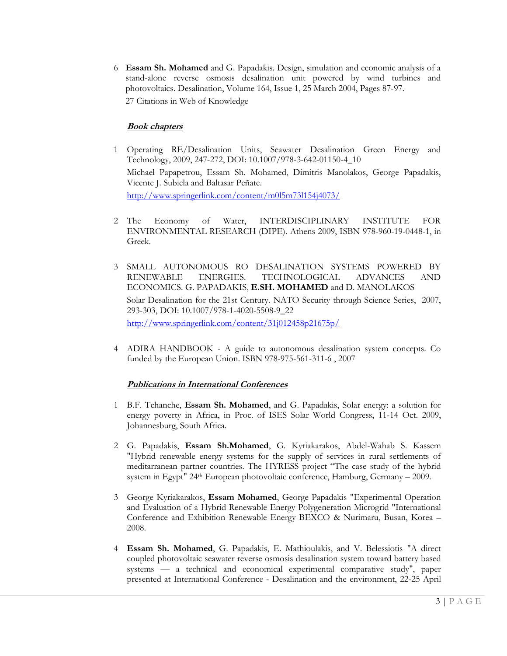6 **Essam Sh. Mohamed** and G. Papadakis. Design, simulation and economic analysis of a stand-alone reverse osmosis desalination unit powered by wind turbines and photovoltaics. Desalination, Volume 164, Issue 1, 25 March 2004, Pages 87-97. 27 Citations in Web of Knowledge

### **Book chapters**

- 1 Operating RE/Desalination Units, Seawater Desalination Green Energy and Technology, 2009, 247-272, DOI: 10.1007/978-3-642-01150-4\_10 Michael Papapetrou, Essam Sh. Mohamed, Dimitris Manolakos, George Papadakis, Vicente J. Subiela and Baltasar Peñate. <http://www.springerlink.com/content/m0l5m73l154j4073/>
- 2 The Economy of Water, INTERDISCIPLINARY INSTITUTE FOR ENVIRONMENTAL RESEARCH (DIPE). Athens 2009, ISBN 978-960-19-0448-1, in Greek.
- 3 SMALL AUTONOMOUS RO DESALINATION SYSTEMS POWERED BY RENEWABLE ENERGIES. TECHNOLOGICAL ADVANCES AND ECONOMICS. G. PAPADAKIS, **E.SH. MOHAMED** and D. MANOLAKOS Solar Desalination for the 21st Century. NATO Security through Science Series, 2007, 293-303, DOI: 10.1007/978-1-4020-5508-9\_22 <http://www.springerlink.com/content/31j012458p21675p/>
- 4 ADIRA HANDBOOK A guide to autonomous desalination system concepts. Co funded by the European Union. ISBN 978-975-561-311-6 , 2007

# **Publications in International Conferences**

- 1 B.F. Tchanche, **Essam Sh. Mohamed**, and G. Papadakis, Solar energy: a solution for energy poverty in Africa, in Proc. of ISES Solar World Congress, 11-14 Oct. 2009, Johannesburg, South Africa.
- 2 G. Papadakis, **Essam Sh.Mohamed**, G. Kyriakarakos, Abdel-Wahab S. Kassem "Hybrid renewable energy systems for the supply of services in rural settlements of meditarranean partner countries. The HYRESS project "The case study of the hybrid system in Egypt" 24th European photovoltaic conference, Hamburg, Germany – 2009.
- 3 George Kyriakarakos, **Essam Mohamed**, George Papadakis "Experimental Operation and Evaluation of a Hybrid Renewable Energy Polygeneration Microgrid "International Conference and Exhibition Renewable Energy BEXCO & Nurimaru, Busan, Korea – 2008.
- 4 **Essam Sh. Mohamed**, G. Papadakis, E. Mathioulakis, and V. Belessiotis "A direct coupled photovoltaic seawater reverse osmosis desalination system toward battery based systems — a technical and economical experimental comparative study", paper presented at International Conference - Desalination and the environment, 22-25 April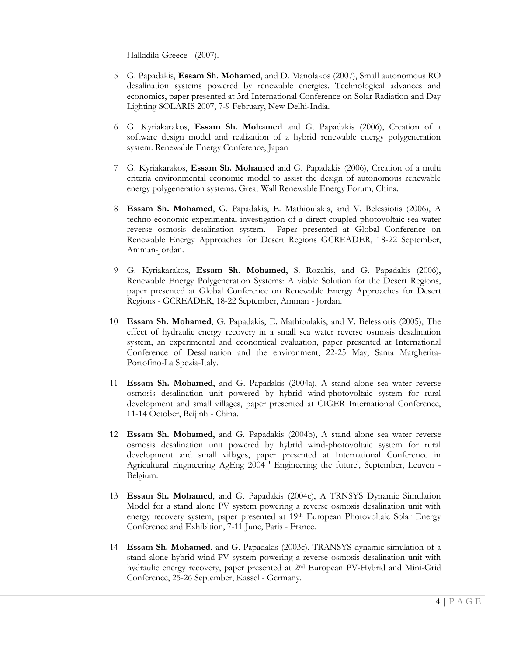Halkidiki-Greece - (2007).

- 5 G. Papadakis, **Essam Sh. Mohamed**, and D. Manolakos (2007), Small autonomous RO desalination systems powered by renewable energies. Technological advances and economics, paper presented at 3rd International Conference on Solar Radiation and Day Lighting SOLARIS 2007, 7-9 February, New Delhi-India.
- 6 G. Kyriakarakos, **Essam Sh. Mohamed** and G. Papadakis (2006), Creation of a software design model and realization of a hybrid renewable energy polygeneration system. Renewable Energy Conference, Japan
- 7 G. Kyriakarakos, **Essam Sh. Mohamed** and G. Papadakis (2006), Creation of a multi criteria environmental economic model to assist the design of autonomous renewable energy polygeneration systems. Great Wall Renewable Energy Forum, China.
- 8 **Essam Sh. Mohamed**, G. Papadakis, E. Mathioulakis, and V. Belessiotis (2006), A techno-economic experimental investigation of a direct coupled photovoltaic sea water reverse osmosis desalination system. Paper presented at Global Conference on Renewable Energy Approaches for Desert Regions GCREADER, 18-22 September, Amman-Jordan.
- 9 G. Kyriakarakos, **Essam Sh. Mohamed**, S. Rozakis, and G. Papadakis (2006), Renewable Energy Polygeneration Systems: A viable Solution for the Desert Regions, paper presented at Global Conference on Renewable Energy Approaches for Desert Regions - GCREADER, 18-22 September, Amman - Jordan.
- 10 **Essam Sh. Mohamed**, G. Papadakis, E. Mathioulakis, and V. Belessiotis (2005), The effect of hydraulic energy recovery in a small sea water reverse osmosis desalination system, an experimental and economical evaluation, paper presented at International Conference of Desalination and the environment, 22-25 May, Santa Margherita-Portofino-La Spezia-Italy.
- 11 **Essam Sh. Mohamed**, and G. Papadakis (2004a), A stand alone sea water reverse osmosis desalination unit powered by hybrid wind-photovoltaic system for rural development and small villages, paper presented at CIGER International Conference, 11-14 October, Beijinh - China.
- 12 **Essam Sh. Mohamed**, and G. Papadakis (2004b), A stand alone sea water reverse osmosis desalination unit powered by hybrid wind-photovoltaic system for rural development and small villages, paper presented at International Conference in Agricultural Engineering AgEng 2004 ' Engineering the future', September, Leuven - Belgium.
- 13 **Essam Sh. Mohamed**, and G. Papadakis (2004c), A TRNSYS Dynamic Simulation Model for a stand alone PV system powering a reverse osmosis desalination unit with energy recovery system, paper presented at 19<sup>th</sup> European Photovoltaic Solar Energy Conference and Exhibition, 7-11 June, Paris - France.
- 14 **Essam Sh. Mohamed**, and G. Papadakis (2003c), TRANSYS dynamic simulation of a stand alone hybrid wind-PV system powering a reverse osmosis desalination unit with hydraulic energy recovery, paper presented at 2nd European PV-Hybrid and Mini-Grid Conference, 25-26 September, Kassel - Germany.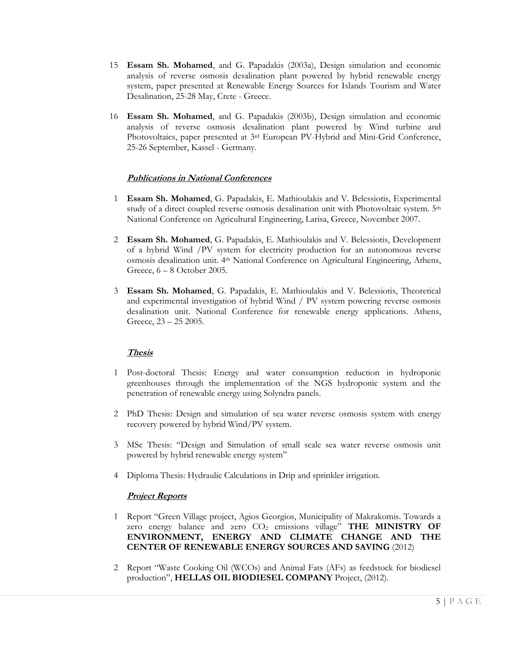- 15 **Essam Sh. Mohamed**, and G. Papadakis (2003a), Design simulation and economic analysis of reverse osmosis desalination plant powered by hybrid renewable energy system, paper presented at Renewable Energy Sources for Islands Tourism and Water Desalination, 25-28 May, Crete - Greece.
- 16 **Essam Sh. Mohamed**, and G. Papadakis (2003b), Design simulation and economic analysis of reverse osmosis desalination plant powered by Wind turbine and Photovoltaics, paper presented at 3rd European PV-Hybrid and Mini-Grid Conference, 25-26 September, Kassel - Germany.

# **Publications in National Conferences**

- 1 **Essam Sh. Mohamed**, G. Papadakis, E. Mathioulakis and V. Belessiotis, Experimental study of a direct coupled reverse osmosis desalination unit with Photovoltaic system. 5<sup>th</sup> National Conference on Agricultural Engineering, Larisa, Greece, November 2007.
- 2 **Essam Sh. Mohamed**, G. Papadakis, E. Mathioulakis and V. Belessiotis, Development of a hybrid Wind /PV system for electricity production for an autonomous reverse osmosis desalination unit. 4th National Conference on Agricultural Engineering, Athens, Greece, 6 – 8 October 2005.
- 3 **Essam Sh. Mohamed**, G. Papadakis, E. Mathioulakis and V. Belessiotis, Theoretical and experimental investigation of hybrid Wind / PV system powering reverse osmosis desalination unit. National Conference for renewable energy applications. Athens, Greece, 23 – 25 2005.

# **Thesis**

- 1 Post-doctoral Thesis: Energy and water consumption reduction in hydroponic greenhouses through the implementation of the NGS hydroponic system and the penetration of renewable energy using Solyndra panels.
- 2 PhD Thesis: Design and simulation of sea water reverse osmosis system with energy recovery powered by hybrid Wind/PV system.
- 3 MSc Thesis: "Design and Simulation of small scale sea water reverse osmosis unit powered by hybrid renewable energy system"
- 4 Diploma Thesis: Hydraulic Calculations in Drip and sprinkler irrigation.

### **Project Reports**

- 1 Report "Green Village project, Agios Georgios, Municipality of Makrakomis. Towards a zero energy balance and zero CO<sup>2</sup> emissions village" **THE MINISTRY OF ENVIRONMENT, ENERGY AND CLIMATE CHANGE AND THE CENTER OF RENEWABLE ENERGY SOURCES AND SAVING** (2012)
- 2 Report "Waste Cooking Oil (WCOs) and Animal Fats (AFs) as feedstock for biodiesel production", **HELLAS OIL BIODIESEL COMPANY** Project, (2012).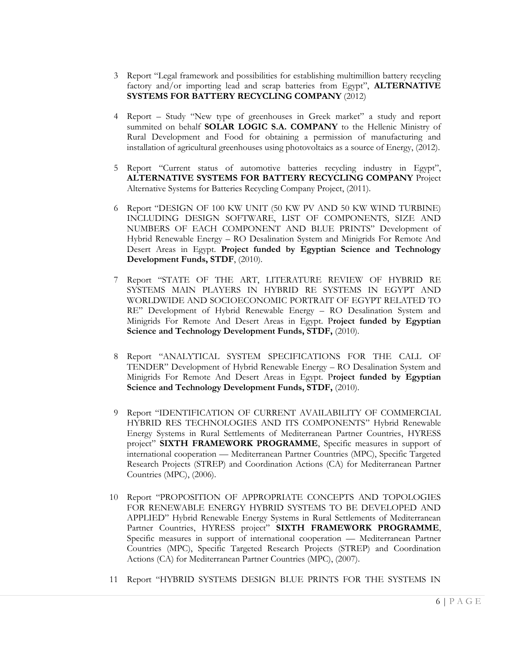- 3 Report "Legal framework and possibilities for establishing multimillion battery recycling factory and/or importing lead and scrap batteries from Egypt", **ALTERNATIVE SYSTEMS FOR BATTERY RECYCLING COMPANY** (2012)
- 4 Report Study "New type of greenhouses in Greek market" a study and report summited on behalf **SOLAR LOGIC S.A. COMPANY** to the Hellenic Ministry of Rural Development and Food for obtaining a permission of manufacturing and installation of agricultural greenhouses using photovoltaics as a source of Energy, (2012).
- 5 Report "Current status of automotive batteries recycling industry in Egypt", **ALTERNATIVE SYSTEMS FOR BATTERY RECYCLING COMPANY** Project Alternative Systems for Batteries Recycling Company Project, (2011).
- 6 Report "DESIGN OF 100 KW UNIT (50 KW PV AND 50 KW WIND TURBINE) INCLUDING DESIGN SOFTWARE, LIST OF COMPONENTS, SIZE AND NUMBERS OF EACH COMPONENT AND BLUE PRINTS" Development of Hybrid Renewable Energy – RO Desalination System and Minigrids For Remote And Desert Areas in Egypt. **Project funded by Egyptian Science and Technology Development Funds, STDF**, (2010).
- 7 Report "STATE OF THE ART, LITERATURE REVIEW OF HYBRID RE SYSTEMS MAIN PLAYERS IN HYBRID RE SYSTEMS IN EGYPT AND WORLDWIDE AND SOCIOECONOMIC PORTRAIT OF EGYPT RELATED TO RE" Development of Hybrid Renewable Energy – RO Desalination System and Minigrids For Remote And Desert Areas in Egypt. P**roject funded by Egyptian Science and Technology Development Funds, STDF,** (2010).
- 8 Report "ANALYTICAL SYSTEM SPECIFICATIONS FOR THE CALL OF TENDER" Development of Hybrid Renewable Energy – RO Desalination System and Minigrids For Remote And Desert Areas in Egypt. P**roject funded by Egyptian**  Science and Technology Development Funds, STDF, (2010).
- 9 Report "IDENTIFICATION OF CURRENT AVAILABILITY OF COMMERCIAL HYBRID RES TECHNOLOGIES AND ITS COMPONENTS" Hybrid Renewable Energy Systems in Rural Settlements of Mediterranean Partner Countries, HYRESS project" **SIXTH FRAMEWORK PROGRAMME**, Specific measures in support of international cooperation — Mediterranean Partner Countries (MPC), Specific Targeted Research Projects (STREP) and Coordination Actions (CA) for Mediterranean Partner Countries (MPC), (2006).
- 10 Report "PROPOSITION OF APPROPRIATE CONCEPTS AND TOPOLOGIES FOR RENEWABLE ENERGY HYBRID SYSTEMS TO BE DEVELOPED AND APPLIED" Hybrid Renewable Energy Systems in Rural Settlements of Mediterranean Partner Countries, HYRESS project" **SIXTH FRAMEWORK PROGRAMME**, Specific measures in support of international cooperation — Mediterranean Partner Countries (MPC), Specific Targeted Research Projects (STREP) and Coordination Actions (CA) for Mediterranean Partner Countries (MPC), (2007).
- 11 Report "HYBRID SYSTEMS DESIGN BLUE PRINTS FOR THE SYSTEMS IN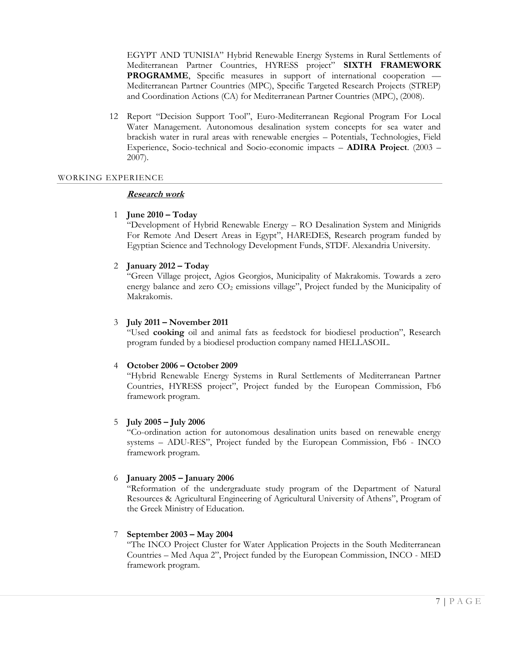EGYPT AND TUNISIA" Hybrid Renewable Energy Systems in Rural Settlements of Mediterranean Partner Countries, HYRESS project" **SIXTH FRAMEWORK PROGRAMME**, Specific measures in support of international cooperation — Mediterranean Partner Countries (MPC), Specific Targeted Research Projects (STREP) and Coordination Actions (CA) for Mediterranean Partner Countries (MPC), (2008).

12 Report "Decision Support Tool", Euro-Mediterranean Regional Program For Local Water Management. Autonomous desalination system concepts for sea water and brackish water in rural areas with renewable energies – Potentials, Technologies, Field Experience, Socio-technical and Socio-economic impacts – **ADIRA Project**. (2003 – 2007).

#### WORKING EXPERIENCE

### **Research work**

### 1 **June 2010 – Today**

"Development of Hybrid Renewable Energy – RO Desalination System and Minigrids For Remote And Desert Areas in Egypt", HAREDES, Research program funded by Egyptian Science and Technology Development Funds, STDF. Alexandria University.

### 2 **January 2012 – Today**

"Green Village project, Agios Georgios, Municipality of Makrakomis. Towards a zero energy balance and zero CO<sub>2</sub> emissions village", Project funded by the Municipality of Makrakomis.

### 3 **July 2011 – November 2011**

"Used **cooking** oil and animal fats as feedstock for biodiesel production", Research program funded by a biodiesel production company named HELLASOIL.

### 4 **October 2006 – October 2009**

"Hybrid Renewable Energy Systems in Rural Settlements of Mediterranean Partner Countries, HYRESS project", Project funded by the European Commission, Fb6 framework program.

### 5 **July 2005 – July 2006**

"Co-ordination action for autonomous desalination units based on renewable energy systems – ADU-RES", Project funded by the European Commission, Fb6 - INCO framework program.

### 6 **January 2005 – January 2006**

"Reformation of the undergraduate study program of the Department of Natural Resources & Agricultural Engineering of Agricultural University of Athens", Program of the Greek Ministry of Education.

### 7 **September 2003 – May 2004**

"The INCO Project Cluster for Water Application Projects in the South Mediterranean Countries – Med Aqua 2", Project funded by the European Commission, INCO - MED framework program.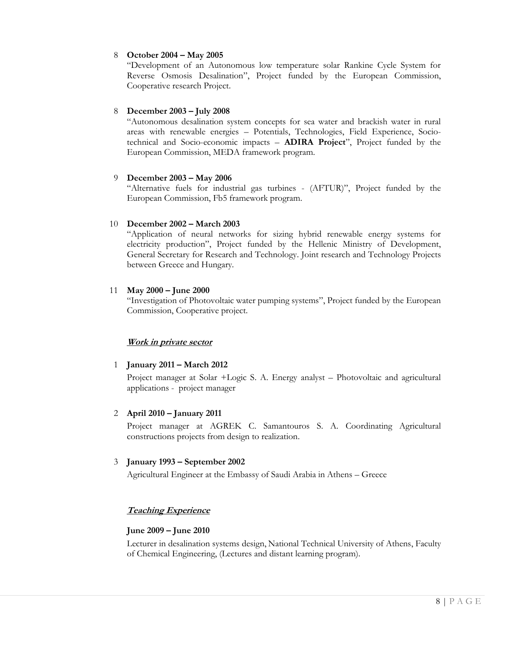# 8 **October 2004 – May 2005**

"Development of an Autonomous low temperature solar Rankine Cycle System for Reverse Osmosis Desalination", Project funded by the European Commission, Cooperative research Project.

# 8 **December 2003 – July 2008**

"Autonomous desalination system concepts for sea water and brackish water in rural areas with renewable energies – Potentials, Technologies, Field Experience, Sociotechnical and Socio-economic impacts – **ADIRA Project**", Project funded by the European Commission, MEDA framework program.

# 9 **December 2003 – May 2006**

"Alternative fuels for industrial gas turbines - (AFTUR)", Project funded by the European Commission, Fb5 framework program.

# 10 **December 2002 – March 2003**

"Application of neural networks for sizing hybrid renewable energy systems for electricity production", Project funded by the Hellenic Ministry of Development, General Secretary for Research and Technology. Joint research and Technology Projects between Greece and Hungary.

# 11 **May 2000 – June 2000**

"Investigation of Photovoltaic water pumping systems", Project funded by the European Commission, Cooperative project.

# **Work in private sector**

# 1 **January 2011 – March 2012**

Project manager at Solar +Logic S. A. Energy analyst – Photovoltaic and agricultural applications - project manager

# 2 **April 2010 – January 2011**

Project manager at AGREK C. Samantouros S. A. Coordinating Agricultural constructions projects from design to realization.

# 3 **January 1993 – September 2002**

Agricultural Engineer at the Embassy of Saudi Arabia in Athens – Greece

# **Teaching Experience**

# **June 2009 – June 2010**

Lecturer in desalination systems design, National Technical University of Athens, Faculty of Chemical Engineering, (Lectures and distant learning program).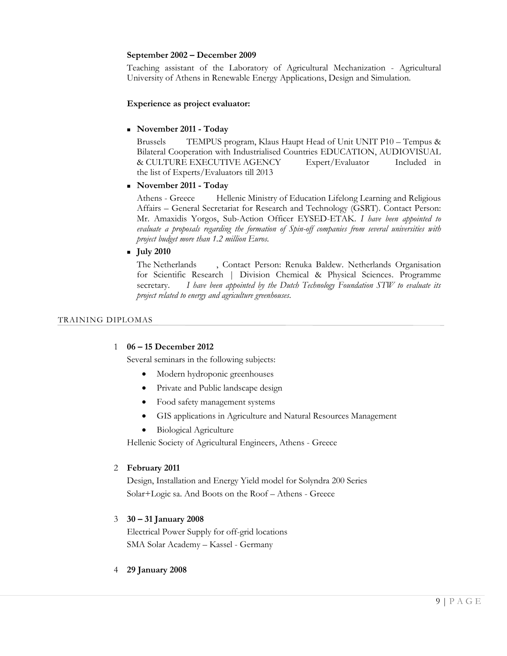# **September 2002 – December 2009**

Teaching assistant of the Laboratory of Agricultural Mechanization - Agricultural University of Athens in Renewable Energy Applications, Design and Simulation.

### **Experience as project evaluator:**

### **November 2011 - Today**

Brussels TEMPUS program, Klaus Haupt Head of Unit UNIT P10 – Tempus & Bilateral Cooperation with Industrialised Countries EDUCATION, AUDIOVISUAL & CULTURE EXECUTIVE AGENCY Expert/Evaluator Included in the list of Experts/Evaluators till 2013

# **November 2011 - Today**

Athens - Greece Hellenic Ministry of Education Lifelong Learning and Religious Affairs – General Secretariat for Research and Technology (GSRT). Contact Person: Mr. Amaxidis Yorgos, Sub-Action Officer EYSED-ETAK. *I have been appointed to evaluate a proposals regarding the formation of Spin-off companies from several universities with project budget more than 1.2 million Euros.*

### **July 2010**

The Netherlands , Contact Person: Renuka Baldew. Netherlands Organisation for Scientific Research | Division Chemical & Physical Sciences. Programme secretary. *I have been appointed by the Dutch Technology Foundation STW to evaluate its project related to energy and agriculture greenhouses.*

### TRAINING DIPLOMAS

### 1 **06 – 15 December 2012**

Several seminars in the following subjects:

- Modern hydroponic greenhouses
- Private and Public landscape design
- Food safety management systems
- GIS applications in Agriculture and Natural Resources Management
- Biological Agriculture

Hellenic Society of Agricultural Engineers, Athens - Greece

### 2 **February 2011**

Design, Installation and Energy Yield model for Solyndra 200 Series Solar+Logic sa. And Boots on the Roof – Athens - Greece

# 3 **30 – 31 January 2008**

Electrical Power Supply for off-grid locations SMA Solar Academy – Kassel - Germany

4 **29 January 2008**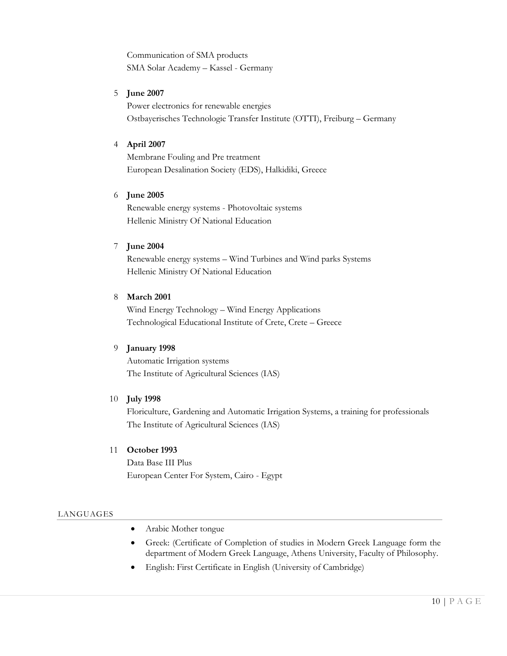Communication of SMA products SMA Solar Academy – Kassel - Germany

# 5 **June 2007**

Power electronics for renewable energies Ostbayerisches Technologie Transfer Institute (OTTI), Freiburg – Germany

### 4 **April 2007**

Membrane Fouling and Pre treatment European Desalination Society (EDS), Halkidiki, Greece

### 6 **June 2005**

Renewable energy systems - Photovoltaic systems Hellenic Ministry Of National Education

### 7 **June 2004**

Renewable energy systems – Wind Turbines and Wind parks Systems Hellenic Ministry Of National Education

### 8 **March 2001**

Wind Energy Technology – Wind Energy Applications Technological Educational Institute of Crete, Crete – Greece

### 9 **January 1998**

Automatic Irrigation systems The Institute of Agricultural Sciences (IAS)

### 10 **July 1998**

Floriculture, Gardening and Automatic Irrigation Systems, a training for professionals The Institute of Agricultural Sciences (IAS)

### 11 **October 1993**

Data Base III Plus European Center For System, Cairo - Egypt

### LANGUAGES

- Arabic Mother tongue
- Greek: (Certificate of Completion of studies in Modern Greek Language form the department of Modern Greek Language, Athens University, Faculty of Philosophy.
- English: First Certificate in English (University of Cambridge)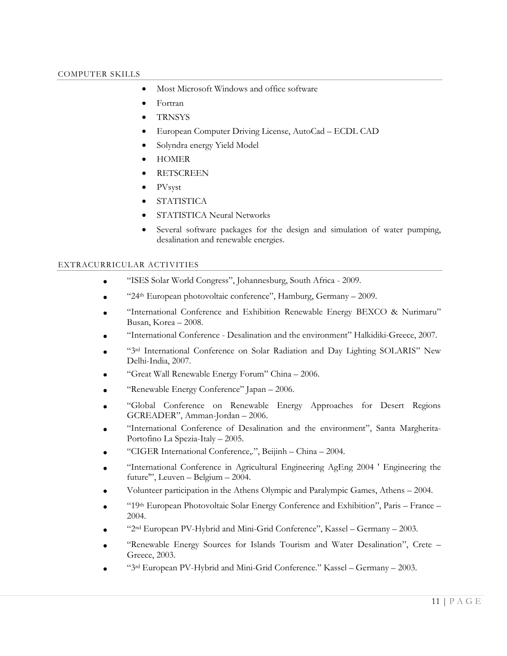- Most Microsoft Windows and office software
- Fortran
- **TRNSYS**
- European Computer Driving License, AutoCad ECDL CAD
- Solyndra energy Yield Model
- HOMER
- **RETSCREEN**
- PVsyst
- STATISTICA
- STATISTICA Neural Networks
- Several software packages for the design and simulation of water pumping, desalination and renewable energies.

### EXTRACURRICULAR ACTIVITIES

- "ISES Solar World Congress", Johannesburg, South Africa 2009.
- "24th European photovoltaic conference", Hamburg, Germany 2009.
- "International Conference and Exhibition Renewable Energy BEXCO & Nurimaru" Busan, Korea – 2008.
- "International Conference Desalination and the environment" Halkidiki-Greece, 2007.
- "3rd International Conference on Solar Radiation and Day Lighting SOLARIS" New Delhi-India, 2007.
- "Great Wall Renewable Energy Forum" China 2006.
- "Renewable Energy Conference" Japan 2006.
- "Global Conference on Renewable Energy Approaches for Desert Regions GCREADER", Amman-Jordan – 2006.
- "International Conference of Desalination and the environment", Santa Margherita-Portofino La Spezia-Italy – 2005.
- "CIGER International Conference,.", Beijinh China 2004.
- "International Conference in Agricultural Engineering AgEng 2004 ' Engineering the future'", Leuven – Belgium – 2004.
- Volunteer participation in the Athens Olympic and Paralympic Games, Athens 2004.
- "19th European Photovoltaic Solar Energy Conference and Exhibition", Paris France 2004.
- "2nd European PV-Hybrid and Mini-Grid Conference", Kassel Germany 2003.
- "Renewable Energy Sources for Islands Tourism and Water Desalination", Crete Greece, 2003.
- "3rd European PV-Hybrid and Mini-Grid Conference." Kassel Germany 2003.